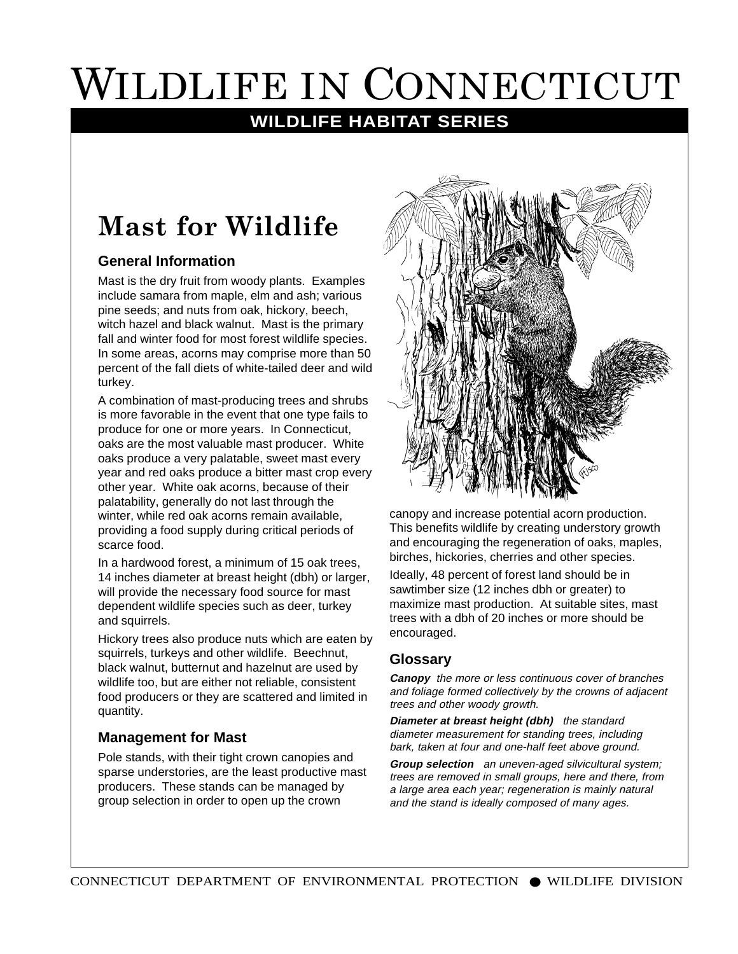# WILDLIFE IN CONNECTICUT

### **WILDLIFE HABITAT SERIES**

## **Mast for Wildlife**

#### **General Information**

Mast is the dry fruit from woody plants. Examples include samara from maple, elm and ash; various pine seeds; and nuts from oak, hickory, beech, witch hazel and black walnut. Mast is the primary fall and winter food for most forest wildlife species. In some areas, acorns may comprise more than 50 percent of the fall diets of white-tailed deer and wild turkey.

A combination of mast-producing trees and shrubs is more favorable in the event that one type fails to produce for one or more years. In Connecticut, oaks are the most valuable mast producer. White oaks produce a very palatable, sweet mast every year and red oaks produce a bitter mast crop every other year. White oak acorns, because of their palatability, generally do not last through the winter, while red oak acorns remain available, providing a food supply during critical periods of scarce food.

In a hardwood forest, a minimum of 15 oak trees, 14 inches diameter at breast height (dbh) or larger, will provide the necessary food source for mast dependent wildlife species such as deer, turkey and squirrels.

Hickory trees also produce nuts which are eaten by squirrels, turkeys and other wildlife. Beechnut, black walnut, butternut and hazelnut are used by wildlife too, but are either not reliable, consistent food producers or they are scattered and limited in quantity.

#### **Management for Mast**

Pole stands, with their tight crown canopies and sparse understories, are the least productive mast producers. These stands can be managed by group selection in order to open up the crown



canopy and increase potential acorn production. This benefits wildlife by creating understory growth and encouraging the regeneration of oaks, maples, birches, hickories, cherries and other species.

Ideally, 48 percent of forest land should be in sawtimber size (12 inches dbh or greater) to maximize mast production. At suitable sites, mast trees with a dbh of 20 inches or more should be encouraged.

#### **Glossary**

**Canopy** the more or less continuous cover of branches and foliage formed collectively by the crowns of adjacent trees and other woody growth.

**Diameter at breast height (dbh)** the standard diameter measurement for standing trees, including bark, taken at four and one-half feet above ground.

**Group selection** an uneven-aged silvicultural system; trees are removed in small groups, here and there, from a large area each year; regeneration is mainly natural and the stand is ideally composed of many ages.